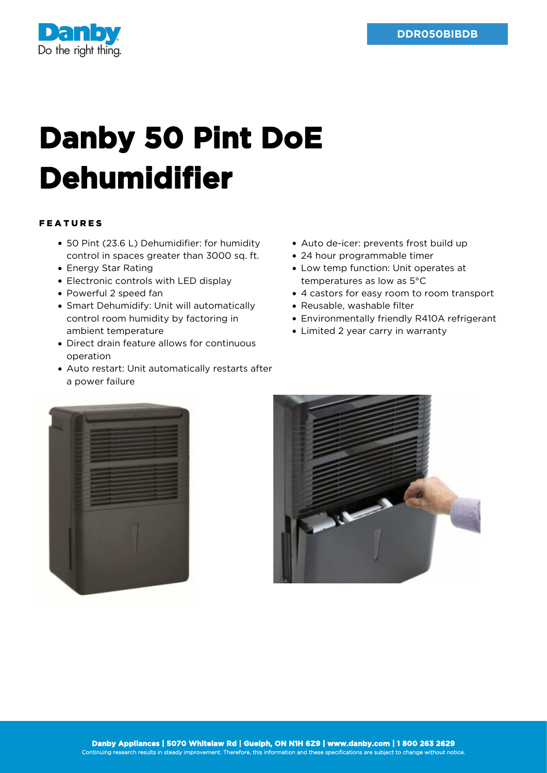

## **Danby 50 Pint DoE Dehumidifier**

## FEATURES

- 50 Pint (23.6 L) Dehumidifier: for humidity control in spaces greater than 3000 sq. ft.
- Energy Star Rating
- Electronic controls with LED display
- Powerful 2 speed fan
- Smart Dehumidify: Unit will automatically control room humidity by factoring in ambient temperature
- Direct drain feature allows for continuous operation
- Auto restart: Unit automatically restarts after a power failure
- Auto de-icer: prevents frost build up
- 24 hour programmable timer
- Low temp function: Unit operates at temperatures as low as 5°C
- 4 castors for easy room to room transport
- Reusable, washable filter
- Environmentally friendly R410A refrigerant
- Limited 2 year carry in warranty